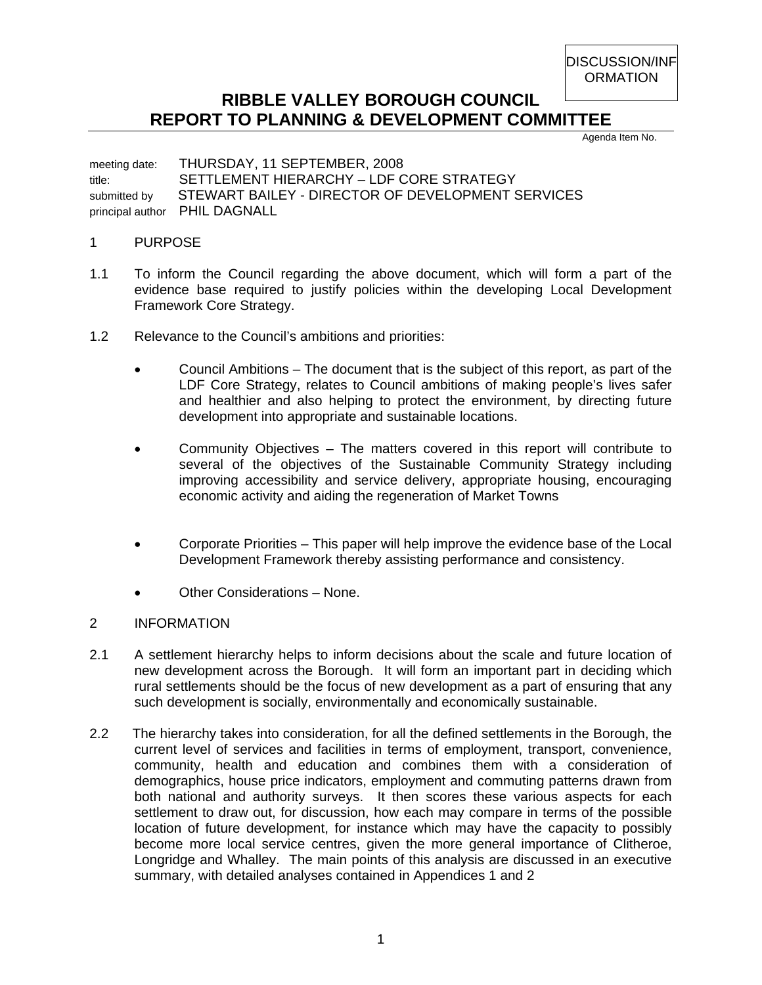DISCUSSION/INF **ORMATION** 

## **RIBBLE VALLEY BOROUGH COUNCIL REPORT TO PLANNING & DEVELOPMENT COMMITTEE**

Agenda Item No.

meeting date: THURSDAY, 11 SEPTEMBER, 2008 title: SETTLEMENT HIERARCHY – LDF CORE STRATEGY submitted by STEWART BAILEY - DIRECTOR OF DEVELOPMENT SERVICES principal author PHIL DAGNALL

## 1 PURPOSE

- 1.1 To inform the Council regarding the above document, which will form a part of the evidence base required to justify policies within the developing Local Development Framework Core Strategy.
- 1.2 Relevance to the Council's ambitions and priorities:
	- Council Ambitions The document that is the subject of this report, as part of the LDF Core Strategy, relates to Council ambitions of making people's lives safer and healthier and also helping to protect the environment, by directing future development into appropriate and sustainable locations.
	- Community Objectives The matters covered in this report will contribute to several of the objectives of the Sustainable Community Strategy including improving accessibility and service delivery, appropriate housing, encouraging economic activity and aiding the regeneration of Market Towns
	- Corporate Priorities This paper will help improve the evidence base of the Local Development Framework thereby assisting performance and consistency.
	- Other Considerations None.
- 2 INFORMATION
- 2.1 A settlement hierarchy helps to inform decisions about the scale and future location of new development across the Borough. It will form an important part in deciding which rural settlements should be the focus of new development as a part of ensuring that any such development is socially, environmentally and economically sustainable.
- 2.2 The hierarchy takes into consideration, for all the defined settlements in the Borough, the current level of services and facilities in terms of employment, transport, convenience, community, health and education and combines them with a consideration of demographics, house price indicators, employment and commuting patterns drawn from both national and authority surveys. It then scores these various aspects for each settlement to draw out, for discussion, how each may compare in terms of the possible location of future development, for instance which may have the capacity to possibly become more local service centres, given the more general importance of Clitheroe, Longridge and Whalley. The main points of this analysis are discussed in an executive summary, with detailed analyses contained in Appendices 1 and 2